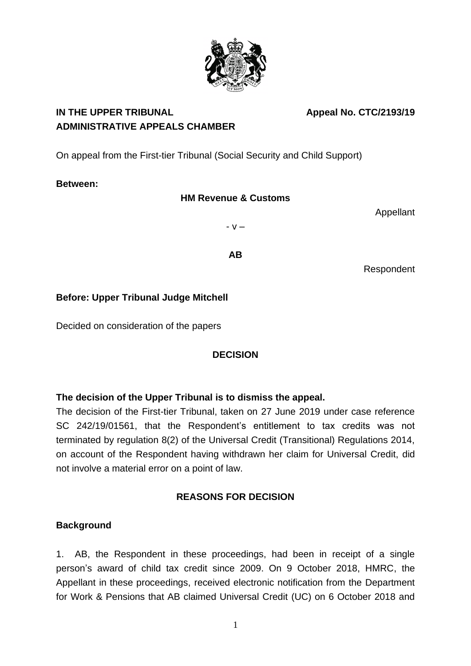

# IN THE UPPER TRIBUNAL **Appeal No. CTC/2193/19 ADMINISTRATIVE APPEALS CHAMBER**

On appeal from the First-tier Tribunal (Social Security and Child Support)

# **Between:**

# **HM Revenue & Customs**

Appellant

- v –

**AB**

Respondent

# **Before: Upper Tribunal Judge Mitchell**

Decided on consideration of the papers

# **DECISION**

# **The decision of the Upper Tribunal is to dismiss the appeal.**

The decision of the First-tier Tribunal, taken on 27 June 2019 under case reference SC 242/19/01561, that the Respondent's entitlement to tax credits was not terminated by regulation 8(2) of the Universal Credit (Transitional) Regulations 2014, on account of the Respondent having withdrawn her claim for Universal Credit, did not involve a material error on a point of law.

# **REASONS FOR DECISION**

# **Background**

1. AB, the Respondent in these proceedings, had been in receipt of a single person's award of child tax credit since 2009. On 9 October 2018, HMRC, the Appellant in these proceedings, received electronic notification from the Department for Work & Pensions that AB claimed Universal Credit (UC) on 6 October 2018 and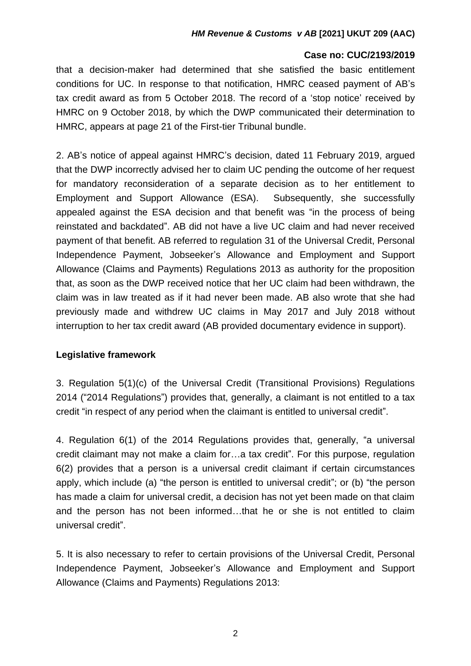#### **Case no: CUC/2193/2019**

that a decision-maker had determined that she satisfied the basic entitlement conditions for UC. In response to that notification, HMRC ceased payment of AB's tax credit award as from 5 October 2018. The record of a 'stop notice' received by HMRC on 9 October 2018, by which the DWP communicated their determination to HMRC, appears at page 21 of the First-tier Tribunal bundle.

2. AB's notice of appeal against HMRC's decision, dated 11 February 2019, argued that the DWP incorrectly advised her to claim UC pending the outcome of her request for mandatory reconsideration of a separate decision as to her entitlement to Employment and Support Allowance (ESA). Subsequently, she successfully appealed against the ESA decision and that benefit was "in the process of being reinstated and backdated". AB did not have a live UC claim and had never received payment of that benefit. AB referred to regulation 31 of the Universal Credit, Personal Independence Payment, Jobseeker's Allowance and Employment and Support Allowance (Claims and Payments) Regulations 2013 as authority for the proposition that, as soon as the DWP received notice that her UC claim had been withdrawn, the claim was in law treated as if it had never been made. AB also wrote that she had previously made and withdrew UC claims in May 2017 and July 2018 without interruption to her tax credit award (AB provided documentary evidence in support).

## **Legislative framework**

3. Regulation 5(1)(c) of the Universal Credit (Transitional Provisions) Regulations 2014 ("2014 Regulations") provides that, generally, a claimant is not entitled to a tax credit "in respect of any period when the claimant is entitled to universal credit".

4. Regulation 6(1) of the 2014 Regulations provides that, generally, "a universal credit claimant may not make a claim for…a tax credit". For this purpose, regulation 6(2) provides that a person is a universal credit claimant if certain circumstances apply, which include (a) "the person is entitled to universal credit"; or (b) "the person has made a claim for universal credit, a decision has not yet been made on that claim and the person has not been informed…that he or she is not entitled to claim universal credit".

5. It is also necessary to refer to certain provisions of the Universal Credit, Personal Independence Payment, Jobseeker's Allowance and Employment and Support Allowance (Claims and Payments) Regulations 2013: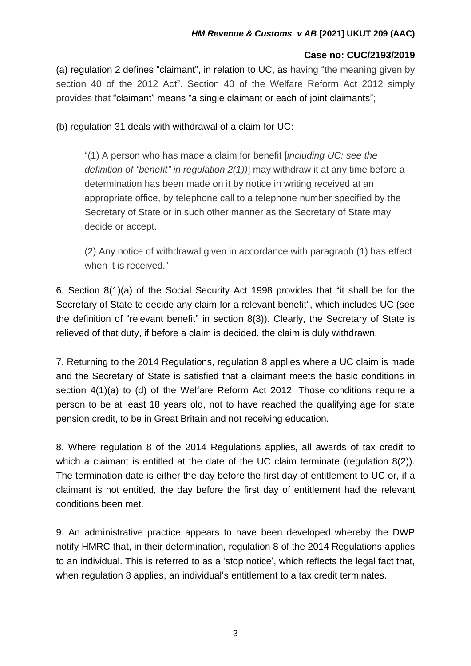## **Case no: CUC/2193/2019**

(a) regulation 2 defines "claimant", in relation to UC, as having "the meaning given by section 40 of the 2012 Act". Section 40 of the Welfare Reform Act 2012 simply provides that "claimant" means "a single claimant or each of joint claimants";

(b) regulation 31 deals with withdrawal of a claim for UC:

"(1) A person who has made a claim for benefit [*including UC: see the definition of "benefit" in regulation 2(1))*] may withdraw it at any time before a determination has been made on it by notice in writing received at an appropriate office, by telephone call to a telephone number specified by the Secretary of State or in such other manner as the Secretary of State may decide or accept.

(2) Any notice of withdrawal given in accordance with paragraph (1) has effect when it is received."

6. Section 8(1)(a) of the Social Security Act 1998 provides that "it shall be for the Secretary of State to decide any claim for a relevant benefit", which includes UC (see the definition of "relevant benefit" in section 8(3)). Clearly, the Secretary of State is relieved of that duty, if before a claim is decided, the claim is duly withdrawn.

7. Returning to the 2014 Regulations, regulation 8 applies where a UC claim is made and the Secretary of State is satisfied that a claimant meets the basic conditions in section 4(1)(a) to (d) of the Welfare Reform Act 2012. Those conditions require a person to be at least 18 years old, not to have reached the qualifying age for state pension credit, to be in Great Britain and not receiving education.

8. Where regulation 8 of the 2014 Regulations applies, all awards of tax credit to which a claimant is entitled at the date of the UC claim terminate (regulation 8(2)). The termination date is either the day before the first day of entitlement to UC or, if a claimant is not entitled, the day before the first day of entitlement had the relevant conditions been met.

9. An administrative practice appears to have been developed whereby the DWP notify HMRC that, in their determination, regulation 8 of the 2014 Regulations applies to an individual. This is referred to as a 'stop notice', which reflects the legal fact that, when regulation 8 applies, an individual's entitlement to a tax credit terminates.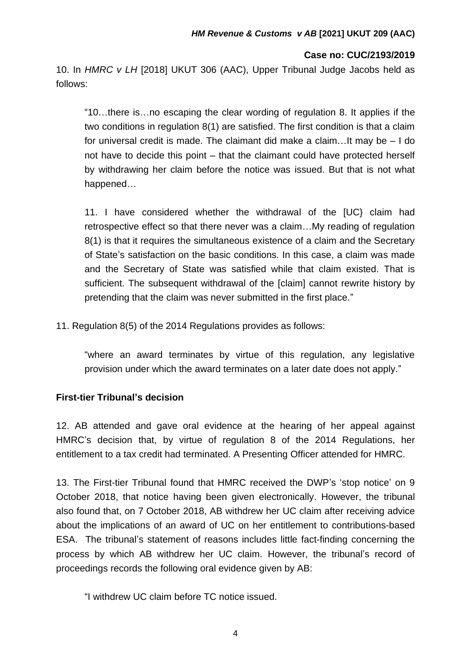10. In *HMRC v LH* [2018] UKUT 306 (AAC), Upper Tribunal Judge Jacobs held as follows:

"10…there is…no escaping the clear wording of regulation 8. It applies if the two conditions in regulation 8(1) are satisfied. The first condition is that a claim for universal credit is made. The claimant did make a claim…It may be – I do not have to decide this point – that the claimant could have protected herself by withdrawing her claim before the notice was issued. But that is not what happened…

11. I have considered whether the withdrawal of the [UC} claim had retrospective effect so that there never was a claim…My reading of regulation 8(1) is that it requires the simultaneous existence of a claim and the Secretary of State's satisfaction on the basic conditions. In this case, a claim was made and the Secretary of State was satisfied while that claim existed. That is sufficient. The subsequent withdrawal of the [claim] cannot rewrite history by pretending that the claim was never submitted in the first place."

11. Regulation 8(5) of the 2014 Regulations provides as follows:

"where an award terminates by virtue of this regulation, any legislative provision under which the award terminates on a later date does not apply."

## **First-tier Tribunal's decision**

12. AB attended and gave oral evidence at the hearing of her appeal against HMRC's decision that, by virtue of regulation 8 of the 2014 Regulations, her entitlement to a tax credit had terminated. A Presenting Officer attended for HMRC.

13. The First-tier Tribunal found that HMRC received the DWP's 'stop notice' on 9 October 2018, that notice having been given electronically. However, the tribunal also found that, on 7 October 2018, AB withdrew her UC claim after receiving advice about the implications of an award of UC on her entitlement to contributions-based ESA. The tribunal's statement of reasons includes little fact-finding concerning the process by which AB withdrew her UC claim. However, the tribunal's record of proceedings records the following oral evidence given by AB:

"I withdrew UC claim before TC notice issued.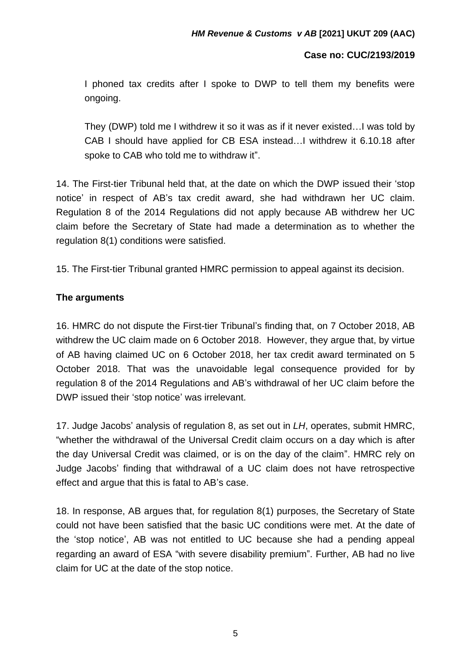I phoned tax credits after I spoke to DWP to tell them my benefits were ongoing.

They (DWP) told me I withdrew it so it was as if it never existed…I was told by CAB I should have applied for CB ESA instead…I withdrew it 6.10.18 after spoke to CAB who told me to withdraw it".

14. The First-tier Tribunal held that, at the date on which the DWP issued their 'stop notice' in respect of AB's tax credit award, she had withdrawn her UC claim. Regulation 8 of the 2014 Regulations did not apply because AB withdrew her UC claim before the Secretary of State had made a determination as to whether the regulation 8(1) conditions were satisfied.

15. The First-tier Tribunal granted HMRC permission to appeal against its decision.

## **The arguments**

16. HMRC do not dispute the First-tier Tribunal's finding that, on 7 October 2018, AB withdrew the UC claim made on 6 October 2018. However, they argue that, by virtue of AB having claimed UC on 6 October 2018, her tax credit award terminated on 5 October 2018. That was the unavoidable legal consequence provided for by regulation 8 of the 2014 Regulations and AB's withdrawal of her UC claim before the DWP issued their 'stop notice' was irrelevant.

17. Judge Jacobs' analysis of regulation 8, as set out in *LH*, operates, submit HMRC, "whether the withdrawal of the Universal Credit claim occurs on a day which is after the day Universal Credit was claimed, or is on the day of the claim". HMRC rely on Judge Jacobs' finding that withdrawal of a UC claim does not have retrospective effect and argue that this is fatal to AB's case.

18. In response, AB argues that, for regulation 8(1) purposes, the Secretary of State could not have been satisfied that the basic UC conditions were met. At the date of the 'stop notice', AB was not entitled to UC because she had a pending appeal regarding an award of ESA "with severe disability premium". Further, AB had no live claim for UC at the date of the stop notice.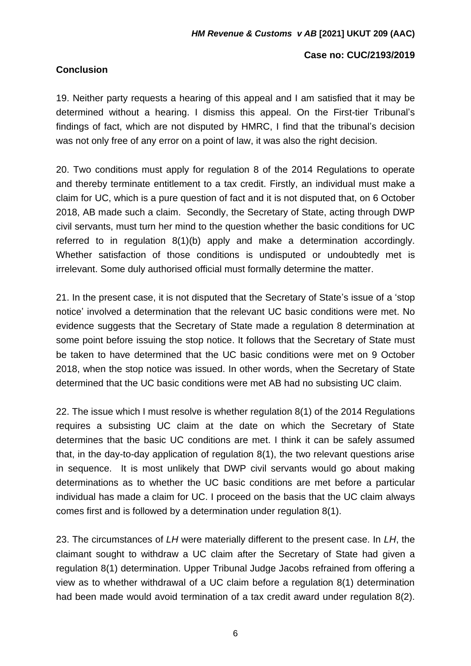## **Conclusion**

#### **Case no: CUC/2193/2019**

19. Neither party requests a hearing of this appeal and I am satisfied that it may be determined without a hearing. I dismiss this appeal. On the First-tier Tribunal's findings of fact, which are not disputed by HMRC, I find that the tribunal's decision was not only free of any error on a point of law, it was also the right decision.

20. Two conditions must apply for regulation 8 of the 2014 Regulations to operate and thereby terminate entitlement to a tax credit. Firstly, an individual must make a claim for UC, which is a pure question of fact and it is not disputed that, on 6 October 2018, AB made such a claim. Secondly, the Secretary of State, acting through DWP civil servants, must turn her mind to the question whether the basic conditions for UC referred to in regulation 8(1)(b) apply and make a determination accordingly. Whether satisfaction of those conditions is undisputed or undoubtedly met is irrelevant. Some duly authorised official must formally determine the matter.

21. In the present case, it is not disputed that the Secretary of State's issue of a 'stop notice' involved a determination that the relevant UC basic conditions were met. No evidence suggests that the Secretary of State made a regulation 8 determination at some point before issuing the stop notice. It follows that the Secretary of State must be taken to have determined that the UC basic conditions were met on 9 October 2018, when the stop notice was issued. In other words, when the Secretary of State determined that the UC basic conditions were met AB had no subsisting UC claim.

22. The issue which I must resolve is whether regulation 8(1) of the 2014 Regulations requires a subsisting UC claim at the date on which the Secretary of State determines that the basic UC conditions are met. I think it can be safely assumed that, in the day-to-day application of regulation 8(1), the two relevant questions arise in sequence. It is most unlikely that DWP civil servants would go about making determinations as to whether the UC basic conditions are met before a particular individual has made a claim for UC. I proceed on the basis that the UC claim always comes first and is followed by a determination under regulation 8(1).

23. The circumstances of *LH* were materially different to the present case. In *LH*, the claimant sought to withdraw a UC claim after the Secretary of State had given a regulation 8(1) determination. Upper Tribunal Judge Jacobs refrained from offering a view as to whether withdrawal of a UC claim before a regulation 8(1) determination had been made would avoid termination of a tax credit award under regulation 8(2).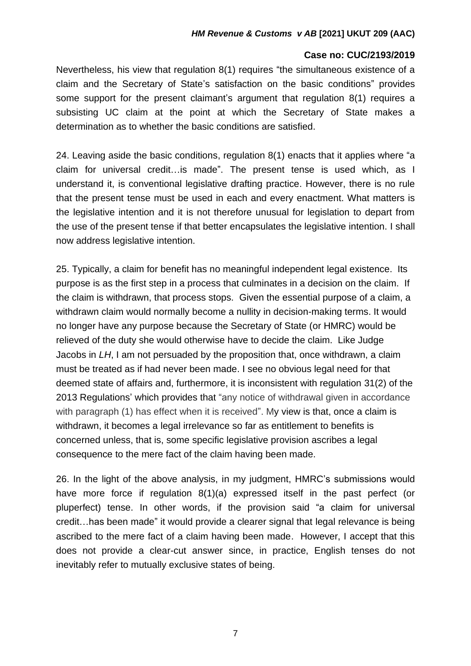#### **Case no: CUC/2193/2019**

Nevertheless, his view that regulation 8(1) requires "the simultaneous existence of a claim and the Secretary of State's satisfaction on the basic conditions" provides some support for the present claimant's argument that regulation 8(1) requires a subsisting UC claim at the point at which the Secretary of State makes a determination as to whether the basic conditions are satisfied.

24. Leaving aside the basic conditions, regulation 8(1) enacts that it applies where "a claim for universal credit…is made". The present tense is used which, as I understand it, is conventional legislative drafting practice. However, there is no rule that the present tense must be used in each and every enactment. What matters is the legislative intention and it is not therefore unusual for legislation to depart from the use of the present tense if that better encapsulates the legislative intention. I shall now address legislative intention.

25. Typically, a claim for benefit has no meaningful independent legal existence. Its purpose is as the first step in a process that culminates in a decision on the claim. If the claim is withdrawn, that process stops. Given the essential purpose of a claim, a withdrawn claim would normally become a nullity in decision-making terms. It would no longer have any purpose because the Secretary of State (or HMRC) would be relieved of the duty she would otherwise have to decide the claim. Like Judge Jacobs in *LH*, I am not persuaded by the proposition that, once withdrawn, a claim must be treated as if had never been made. I see no obvious legal need for that deemed state of affairs and, furthermore, it is inconsistent with regulation 31(2) of the 2013 Regulations' which provides that "any notice of withdrawal given in accordance with paragraph (1) has effect when it is received". My view is that, once a claim is withdrawn, it becomes a legal irrelevance so far as entitlement to benefits is concerned unless, that is, some specific legislative provision ascribes a legal consequence to the mere fact of the claim having been made.

26. In the light of the above analysis, in my judgment, HMRC's submissions would have more force if regulation 8(1)(a) expressed itself in the past perfect (or pluperfect) tense. In other words, if the provision said "a claim for universal credit…has been made" it would provide a clearer signal that legal relevance is being ascribed to the mere fact of a claim having been made. However, I accept that this does not provide a clear-cut answer since, in practice, English tenses do not inevitably refer to mutually exclusive states of being.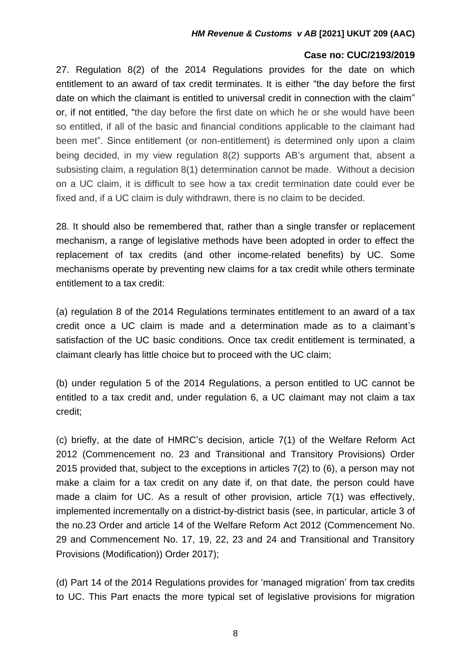27. Regulation 8(2) of the 2014 Regulations provides for the date on which entitlement to an award of tax credit terminates. It is either "the day before the first date on which the claimant is entitled to universal credit in connection with the claim" or, if not entitled, "the day before the first date on which he or she would have been so entitled, if all of the basic and financial conditions applicable to the claimant had been met". Since entitlement (or non-entitlement) is determined only upon a claim being decided, in my view regulation 8(2) supports AB's argument that, absent a subsisting claim, a regulation 8(1) determination cannot be made. Without a decision on a UC claim, it is difficult to see how a tax credit termination date could ever be fixed and, if a UC claim is duly withdrawn, there is no claim to be decided.

28. It should also be remembered that, rather than a single transfer or replacement mechanism, a range of legislative methods have been adopted in order to effect the replacement of tax credits (and other income-related benefits) by UC. Some mechanisms operate by preventing new claims for a tax credit while others terminate entitlement to a tax credit:

(a) regulation 8 of the 2014 Regulations terminates entitlement to an award of a tax credit once a UC claim is made and a determination made as to a claimant's satisfaction of the UC basic conditions. Once tax credit entitlement is terminated, a claimant clearly has little choice but to proceed with the UC claim;

(b) under regulation 5 of the 2014 Regulations, a person entitled to UC cannot be entitled to a tax credit and, under regulation 6, a UC claimant may not claim a tax credit;

(c) briefly, at the date of HMRC's decision, article 7(1) of the Welfare Reform Act 2012 (Commencement no. 23 and Transitional and Transitory Provisions) Order 2015 provided that, subject to the exceptions in articles 7(2) to (6), a person may not make a claim for a tax credit on any date if, on that date, the person could have made a claim for UC. As a result of other provision, article 7(1) was effectively, implemented incrementally on a district-by-district basis (see, in particular, article 3 of the no.23 Order and article 14 of the Welfare Reform Act 2012 (Commencement No. 29 and Commencement No. 17, 19, 22, 23 and 24 and Transitional and Transitory Provisions (Modification)) Order 2017);

(d) Part 14 of the 2014 Regulations provides for 'managed migration' from tax credits to UC. This Part enacts the more typical set of legislative provisions for migration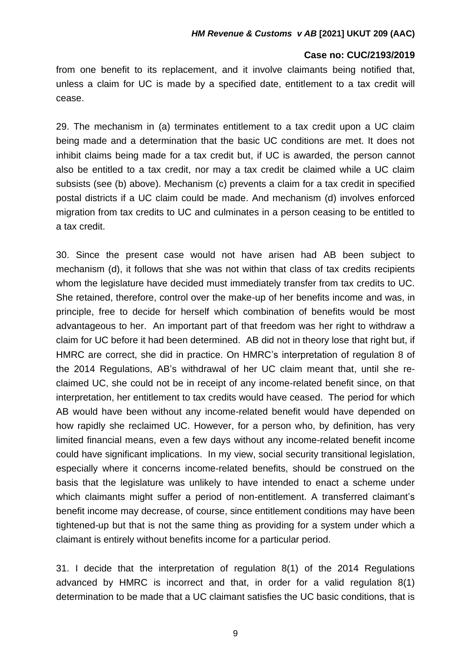from one benefit to its replacement, and it involve claimants being notified that, unless a claim for UC is made by a specified date, entitlement to a tax credit will cease.

29. The mechanism in (a) terminates entitlement to a tax credit upon a UC claim being made and a determination that the basic UC conditions are met. It does not inhibit claims being made for a tax credit but, if UC is awarded, the person cannot also be entitled to a tax credit, nor may a tax credit be claimed while a UC claim subsists (see (b) above). Mechanism (c) prevents a claim for a tax credit in specified postal districts if a UC claim could be made. And mechanism (d) involves enforced migration from tax credits to UC and culminates in a person ceasing to be entitled to a tax credit.

30. Since the present case would not have arisen had AB been subject to mechanism (d), it follows that she was not within that class of tax credits recipients whom the legislature have decided must immediately transfer from tax credits to UC. She retained, therefore, control over the make-up of her benefits income and was, in principle, free to decide for herself which combination of benefits would be most advantageous to her. An important part of that freedom was her right to withdraw a claim for UC before it had been determined. AB did not in theory lose that right but, if HMRC are correct, she did in practice. On HMRC's interpretation of regulation 8 of the 2014 Regulations, AB's withdrawal of her UC claim meant that, until she reclaimed UC, she could not be in receipt of any income-related benefit since, on that interpretation, her entitlement to tax credits would have ceased. The period for which AB would have been without any income-related benefit would have depended on how rapidly she reclaimed UC. However, for a person who, by definition, has very limited financial means, even a few days without any income-related benefit income could have significant implications. In my view, social security transitional legislation, especially where it concerns income-related benefits, should be construed on the basis that the legislature was unlikely to have intended to enact a scheme under which claimants might suffer a period of non-entitlement. A transferred claimant's benefit income may decrease, of course, since entitlement conditions may have been tightened-up but that is not the same thing as providing for a system under which a claimant is entirely without benefits income for a particular period.

31. I decide that the interpretation of regulation 8(1) of the 2014 Regulations advanced by HMRC is incorrect and that, in order for a valid regulation 8(1) determination to be made that a UC claimant satisfies the UC basic conditions, that is